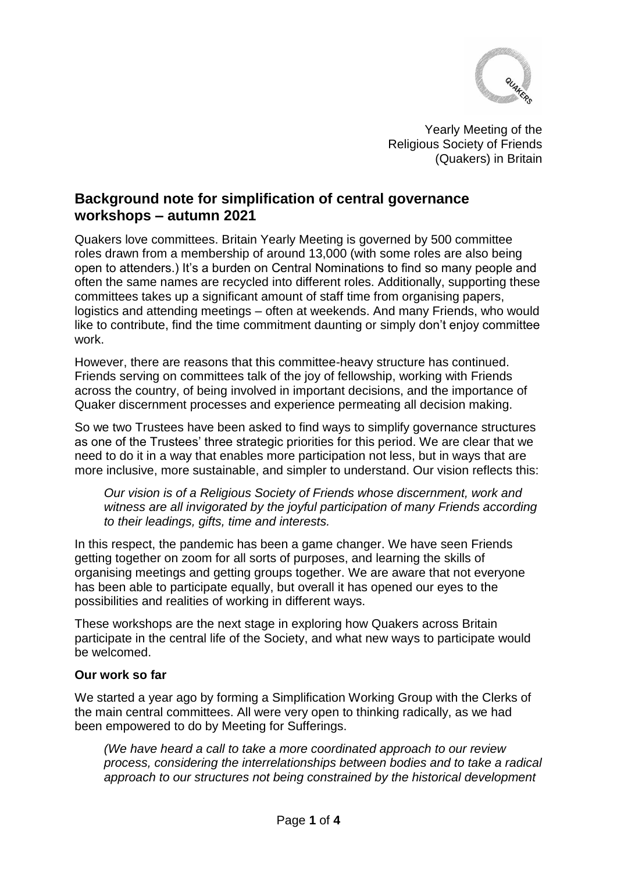

Yearly Meeting of the Religious Society of Friends (Quakers) in Britain

# **Background note for simplification of central governance workshops – autumn 2021**

Quakers love committees. Britain Yearly Meeting is governed by 500 committee roles drawn from a membership of around 13,000 (with some roles are also being open to attenders.) It's a burden on Central Nominations to find so many people and often the same names are recycled into different roles. Additionally, supporting these committees takes up a significant amount of staff time from organising papers, logistics and attending meetings – often at weekends. And many Friends, who would like to contribute, find the time commitment daunting or simply don't enjoy committee work.

However, there are reasons that this committee-heavy structure has continued. Friends serving on committees talk of the joy of fellowship, working with Friends across the country, of being involved in important decisions, and the importance of Quaker discernment processes and experience permeating all decision making.

So we two Trustees have been asked to find ways to simplify governance structures as one of the Trustees' three strategic priorities for this period. We are clear that we need to do it in a way that enables more participation not less, but in ways that are more inclusive, more sustainable, and simpler to understand. Our vision reflects this:

*Our vision is of a Religious Society of Friends whose discernment, work and witness are all invigorated by the joyful participation of many Friends according to their leadings, gifts, time and interests.*

In this respect, the pandemic has been a game changer. We have seen Friends getting together on zoom for all sorts of purposes, and learning the skills of organising meetings and getting groups together. We are aware that not everyone has been able to participate equally, but overall it has opened our eyes to the possibilities and realities of working in different ways.

These workshops are the next stage in exploring how Quakers across Britain participate in the central life of the Society, and what new ways to participate would be welcomed.

#### **Our work so far**

We started a year ago by forming a Simplification Working Group with the Clerks of the main central committees. All were very open to thinking radically, as we had been empowered to do by Meeting for Sufferings.

*(We have heard a call to take a more coordinated approach to our review process, considering the interrelationships between bodies and to take a radical approach to our structures not being constrained by the historical development*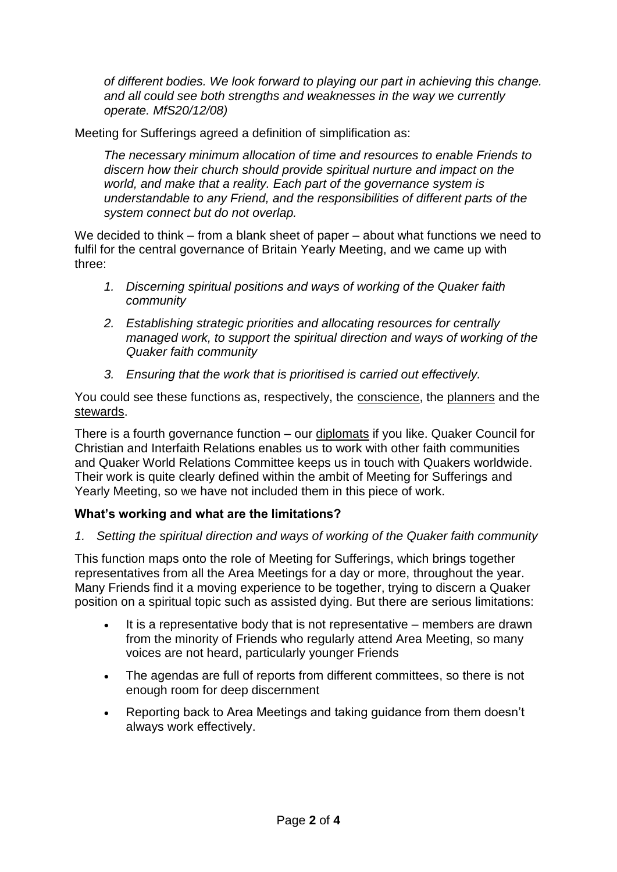*of different bodies. We look forward to playing our part in achieving this change. and all could see both strengths and weaknesses in the way we currently operate. MfS20/12/08)*

Meeting for Sufferings agreed a definition of simplification as:

*The necessary minimum allocation of time and resources to enable Friends to discern how their church should provide spiritual nurture and impact on the world, and make that a reality. Each part of the governance system is understandable to any Friend, and the responsibilities of different parts of the system connect but do not overlap.*

We decided to think – from a blank sheet of paper – about what functions we need to fulfil for the central governance of Britain Yearly Meeting, and we came up with three:

- *1. Discerning spiritual positions and ways of working of the Quaker faith community*
- *2. Establishing strategic priorities and allocating resources for centrally managed work, to support the spiritual direction and ways of working of the Quaker faith community*
- *3. Ensuring that the work that is prioritised is carried out effectively.*

You could see these functions as, respectively, the conscience, the planners and the stewards.

There is a fourth governance function – our diplomats if you like. Quaker Council for Christian and Interfaith Relations enables us to work with other faith communities and Quaker World Relations Committee keeps us in touch with Quakers worldwide. Their work is quite clearly defined within the ambit of Meeting for Sufferings and Yearly Meeting, so we have not included them in this piece of work.

## **What's working and what are the limitations?**

*1. Setting the spiritual direction and ways of working of the Quaker faith community*

This function maps onto the role of Meeting for Sufferings, which brings together representatives from all the Area Meetings for a day or more, throughout the year. Many Friends find it a moving experience to be together, trying to discern a Quaker position on a spiritual topic such as assisted dying. But there are serious limitations:

- It is a representative body that is not representative members are drawn from the minority of Friends who regularly attend Area Meeting, so many voices are not heard, particularly younger Friends
- The agendas are full of reports from different committees, so there is not enough room for deep discernment
- Reporting back to Area Meetings and taking guidance from them doesn't always work effectively.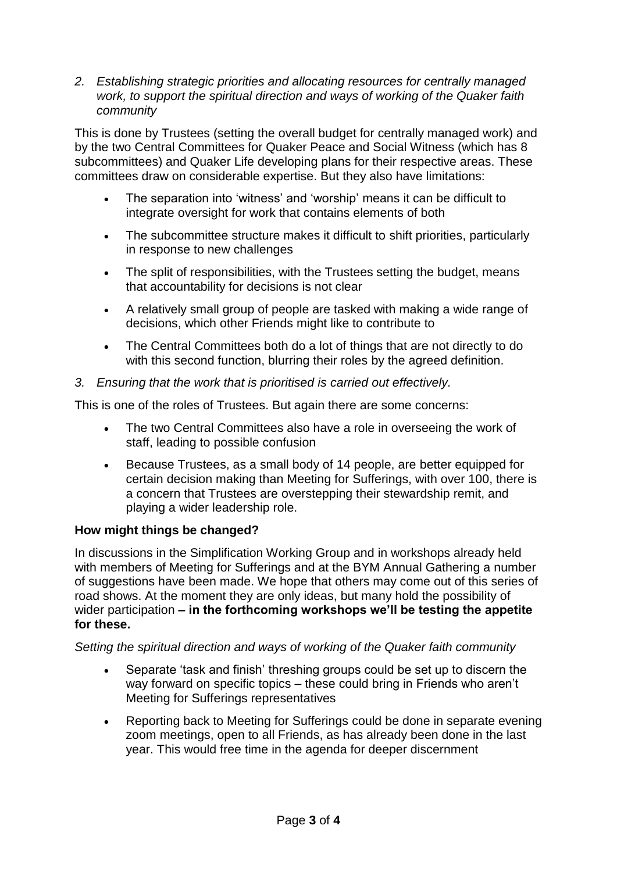*2. Establishing strategic priorities and allocating resources for centrally managed work, to support the spiritual direction and ways of working of the Quaker faith community*

This is done by Trustees (setting the overall budget for centrally managed work) and by the two Central Committees for Quaker Peace and Social Witness (which has 8 subcommittees) and Quaker Life developing plans for their respective areas. These committees draw on considerable expertise. But they also have limitations:

- The separation into 'witness' and 'worship' means it can be difficult to integrate oversight for work that contains elements of both
- The subcommittee structure makes it difficult to shift priorities, particularly in response to new challenges
- The split of responsibilities, with the Trustees setting the budget, means that accountability for decisions is not clear
- A relatively small group of people are tasked with making a wide range of decisions, which other Friends might like to contribute to
- The Central Committees both do a lot of things that are not directly to do with this second function, blurring their roles by the agreed definition.
- *3. Ensuring that the work that is prioritised is carried out effectively.*

This is one of the roles of Trustees. But again there are some concerns:

- The two Central Committees also have a role in overseeing the work of staff, leading to possible confusion
- Because Trustees, as a small body of 14 people, are better equipped for certain decision making than Meeting for Sufferings, with over 100, there is a concern that Trustees are overstepping their stewardship remit, and playing a wider leadership role.

### **How might things be changed?**

In discussions in the Simplification Working Group and in workshops already held with members of Meeting for Sufferings and at the BYM Annual Gathering a number of suggestions have been made. We hope that others may come out of this series of road shows. At the moment they are only ideas, but many hold the possibility of wider participation **– in the forthcoming workshops we'll be testing the appetite for these.**

### *Setting the spiritual direction and ways of working of the Quaker faith community*

- Separate 'task and finish' threshing groups could be set up to discern the way forward on specific topics – these could bring in Friends who aren't Meeting for Sufferings representatives
- Reporting back to Meeting for Sufferings could be done in separate evening zoom meetings, open to all Friends, as has already been done in the last year. This would free time in the agenda for deeper discernment